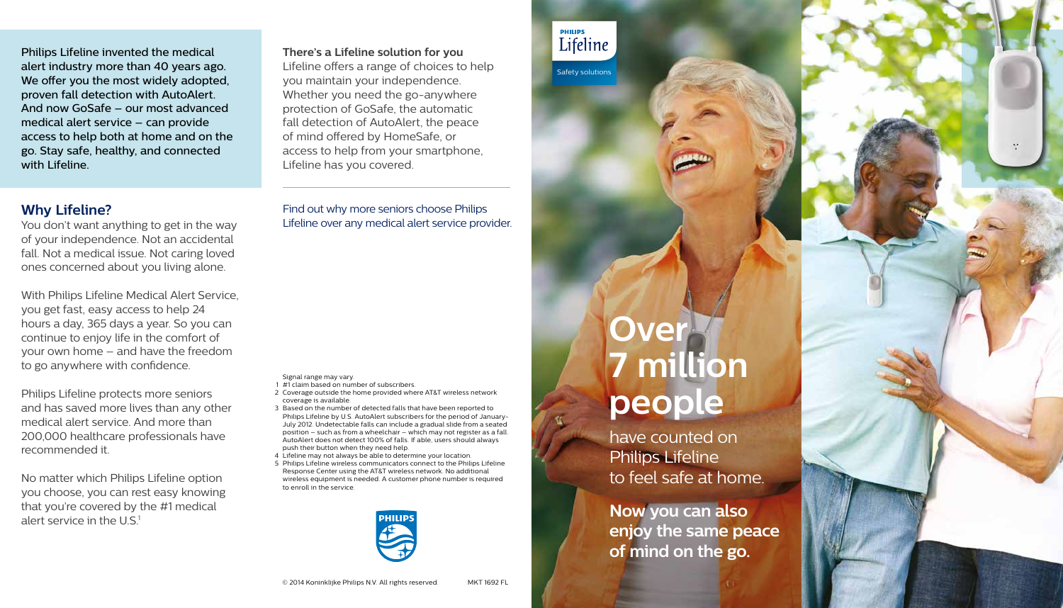Safety solutions

**PHILIPS** Lifeline

> **Now you can also enjoy the same peace of mind on the go.**





have counted on Philips Lifeline to feel safe at home.

Find out why more seniors choose Philips Lifeline over any medical alert service provider.

#### Signal range may vary.

- 1 #1 claim based on number of subscribers.
- 2 Coverage outside the home provided where AT&T wireless network coverage is available.
- 3 Based on the number of detected falls that have been reported to Philips Lifeline by U.S. AutoAlert subscribers for the period of January-July 2012. Undetectable falls can include a gradual slide from a seated position – such as from a wheelchair – which may not register as a fall. AutoAlert does not detect 100% of falls. If able, users should always push their button when they need help.
- 4 Lifeline may not always be able to determine your location.
- 5 Philips Lifeline wireless communicators connect to the Philips Lifeline Response Center using the AT&T wireless network. No additional wireless equipment is needed. A customer phone number is required to enroll in the service.



No matter which Philips Lifeline option you choose, you can rest easy knowing that you're covered by the #1 medical alert service in the  $US<sup>1</sup>$ 

**There's a Lifeline solution for you** Lifeline offers a range of choices to help you maintain your independence. Whether you need the go-anywhere protection of GoSafe, the automatic fall detection of AutoAlert, the peace of mind offered by HomeSafe, or access to help from your smartphone, Lifeline has you covered.

Philips Lifeline invented the medical alert industry more than 40 years ago. We offer you the most widely adopted, proven fall detection with AutoAlert. And now GoSafe – our most advanced medical alert service – can provide access to help both at home and on the go. Stay safe, healthy, and connected with Lifeline.

# **Why Lifeline?**

You don't want anything to get in the way of your independence. Not an accidental fall. Not a medical issue. Not caring loved ones concerned about you living alone.

With Philips Lifeline Medical Alert Service, you get fast, easy access to help 24 hours a day, 365 days a year. So you can continue to enjoy life in the comfort of your own home – and have the freedom to go anywhere with confidence.

Philips Lifeline protects more seniors and has saved more lives than any other medical alert service. And more than 200,000 healthcare professionals have recommended it.